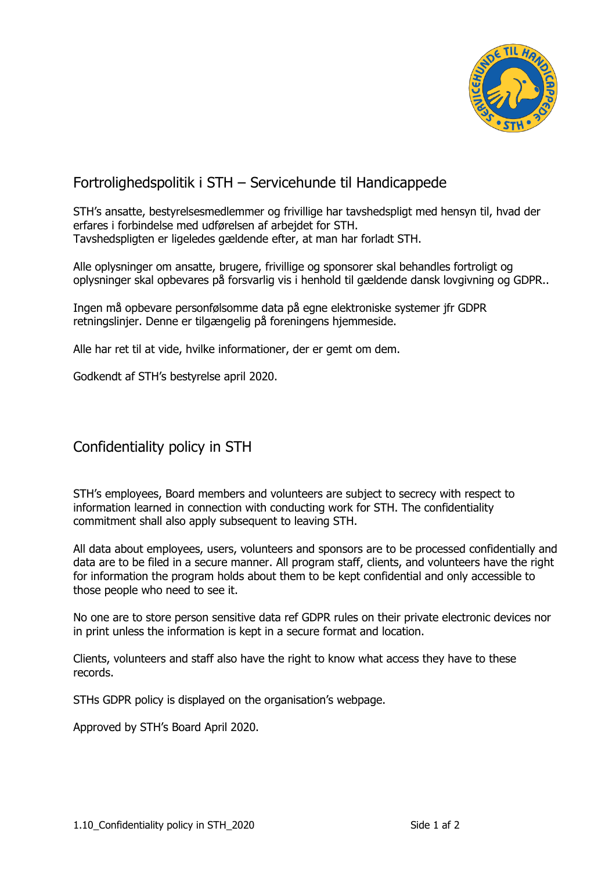

## Fortrolighedspolitik i STH – Servicehunde til Handicappede

STH's ansatte, bestyrelsesmedlemmer og frivillige har tavshedspligt med hensyn til, hvad der erfares i forbindelse med udførelsen af arbejdet for STH. Tavshedspligten er ligeledes gældende efter, at man har forladt STH.

Alle oplysninger om ansatte, brugere, frivillige og sponsorer skal behandles fortroligt og oplysninger skal opbevares på forsvarlig vis i henhold til gældende dansk lovgivning og GDPR..

Ingen må opbevare personfølsomme data på egne elektroniske systemer jfr GDPR retningslinjer. Denne er tilgængelig på foreningens hjemmeside.

Alle har ret til at vide, hvilke informationer, der er gemt om dem.

Godkendt af STH's bestyrelse april 2020.

## Confidentiality policy in STH

STH's employees, Board members and volunteers are subject to secrecy with respect to information learned in connection with conducting work for STH. The confidentiality commitment shall also apply subsequent to leaving STH.

All data about employees, users, volunteers and sponsors are to be processed confidentially and data are to be filed in a secure manner. All program staff, clients, and volunteers have the right for information the program holds about them to be kept confidential and only accessible to those people who need to see it.

No one are to store person sensitive data ref GDPR rules on their private electronic devices nor in print unless the information is kept in a secure format and location.

Clients, volunteers and staff also have the right to know what access they have to these records.

STHs GDPR policy is displayed on the organisation's webpage.

Approved by STH's Board April 2020.